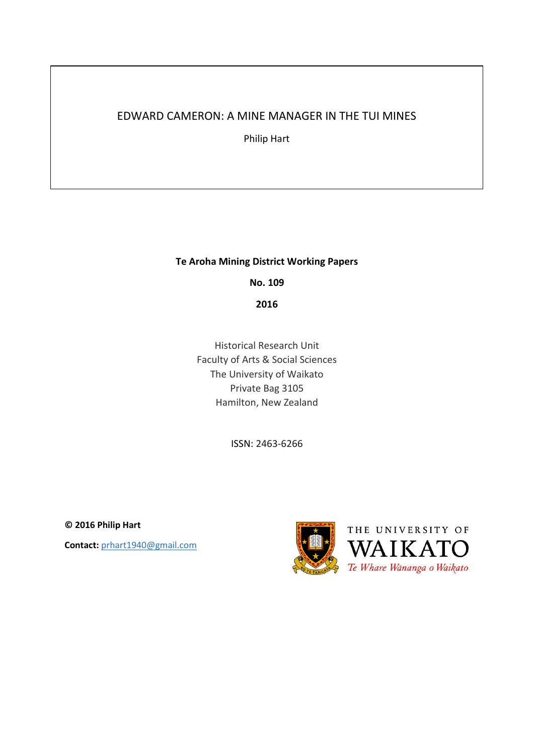## EDWARD CAMERON: A MINE MANAGER IN THE TUI MINES

Philip Hart

## **Te Aroha Mining District Working Papers**

**No. 109**

**2016**

Historical Research Unit Faculty of Arts & Social Sciences The University of Waikato Private Bag 3105 Hamilton, New Zealand

ISSN: 2463-6266

**© 2016 Philip Hart Contact:** prhart1940@gmail.com

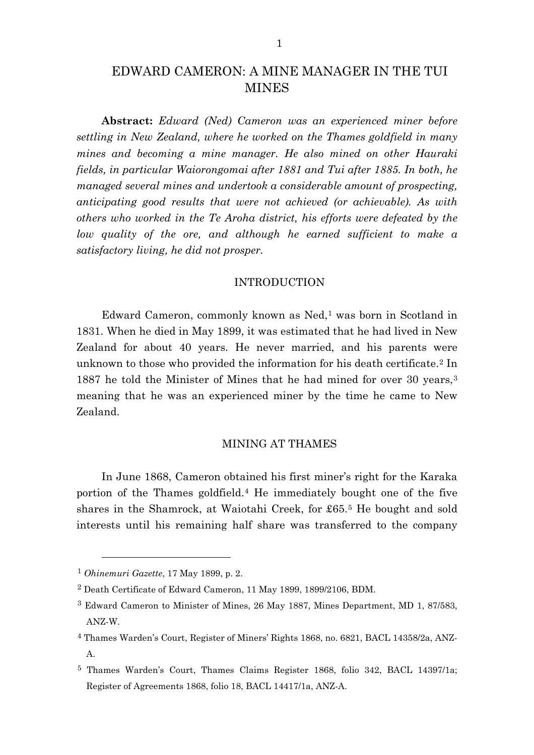# EDWARD CAMERON: A MINE MANAGER IN THE TUI **MINES**

**Abstract:** *Edward (Ned) Cameron was an experienced miner before settling in New Zealand, where he worked on the Thames goldfield in many mines and becoming a mine manager. He also mined on other Hauraki fields, in particular Waiorongomai after 1881 and Tui after 1885. In both, he managed several mines and undertook a considerable amount of prospecting, anticipating good results that were not achieved (or achievable). As with others who worked in the Te Aroha district, his efforts were defeated by the low quality of the ore, and although he earned sufficient to make a satisfactory living, he did not prosper.*

#### INTRODUCTION

Edward Cameron, commonly known as Ned,[1](#page-1-0) was born in Scotland in 1831. When he died in May 1899, it was estimated that he had lived in New Zealand for about 40 years. He never married, and his parents were unknown to those who provided the information for his death certificate.[2](#page-1-1) In 1887 he told the Minister of Mines that he had mined for over 30 years,[3](#page-1-2) meaning that he was an experienced miner by the time he came to New Zealand.

#### MINING AT THAMES

In June 1868, Cameron obtained his first miner's right for the Karaka portion of the Thames goldfield.[4](#page-1-3) He immediately bought one of the five shares in the Shamrock, at Waiotahi Creek, for £65.[5](#page-1-4) He bought and sold interests until his remaining half share was transferred to the company

<span id="page-1-0"></span><sup>1</sup> *Ohinemuri Gazette*, 17 May 1899, p. 2.

<span id="page-1-1"></span><sup>2</sup> Death Certificate of Edward Cameron, 11 May 1899, 1899/2106, BDM.

<span id="page-1-2"></span><sup>3</sup> Edward Cameron to Minister of Mines, 26 May 1887, Mines Department, MD 1, 87/583, ANZ-W.

<span id="page-1-3"></span><sup>4</sup> Thames Warden's Court, Register of Miners' Rights 1868, no. 6821, BACL 14358/2a, ANZ-A.

<span id="page-1-4"></span><sup>5</sup> Thames Warden's Court, Thames Claims Register 1868, folio 342, BACL 14397/1a; Register of Agreements 1868, folio 18, BACL 14417/1a, ANZ-A.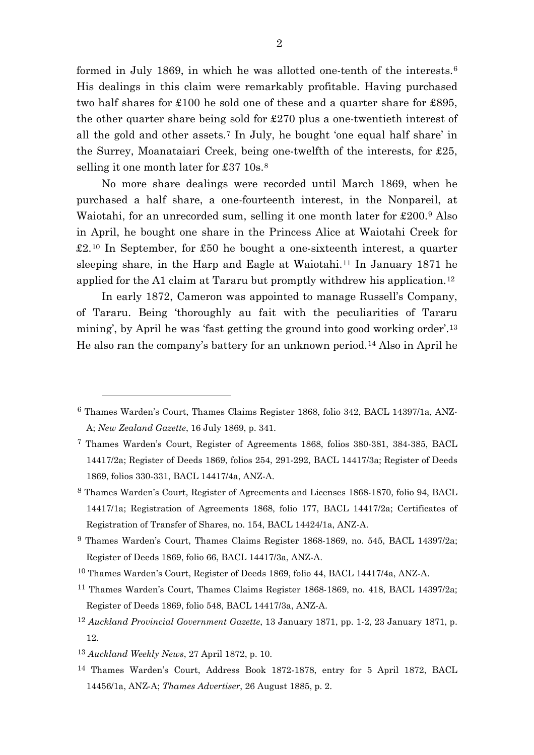formed in July 1869, in which he was allotted one-tenth of the interests.[6](#page-2-0) His dealings in this claim were remarkably profitable. Having purchased two half shares for £100 he sold one of these and a quarter share for £895, the other quarter share being sold for £270 plus a one-twentieth interest of all the gold and other assets.[7](#page-2-1) In July, he bought 'one equal half share' in the Surrey, Moanataiari Creek, being one-twelfth of the interests, for £25, selling it one month later for £37 10s.<sup>[8](#page-2-2)</sup>

No more share dealings were recorded until March 1869, when he purchased a half share, a one-fourteenth interest, in the Nonpareil, at Waiotahi, for an unrecorded sum, selling it one month later for £200.[9](#page-2-3) Also in April, he bought one share in the Princess Alice at Waiotahi Creek for £2.[10](#page-2-4) In September, for £50 he bought a one-sixteenth interest, a quarter sleeping share, in the Harp and Eagle at Waiotahi.[11](#page-2-5) In January 1871 he applied for the A1 claim at Tararu but promptly withdrew his application.[12](#page-2-6)

In early 1872, Cameron was appointed to manage Russell's Company, of Tararu. Being 'thoroughly au fait with the peculiarities of Tararu mining', by April he was 'fast getting the ground into good working order'.[13](#page-2-7) He also ran the company's battery for an unknown period.[14](#page-2-8) Also in April he

<span id="page-2-0"></span><sup>6</sup> Thames Warden's Court, Thames Claims Register 1868, folio 342, BACL 14397/1a, ANZ-A; *New Zealand Gazette*, 16 July 1869, p. 341.

<span id="page-2-1"></span><sup>7</sup> Thames Warden's Court, Register of Agreements 1868, folios 380-381, 384-385, BACL 14417/2a; Register of Deeds 1869, folios 254, 291-292, BACL 14417/3a; Register of Deeds 1869, folios 330-331, BACL 14417/4a, ANZ-A.

<span id="page-2-2"></span><sup>8</sup> Thames Warden's Court, Register of Agreements and Licenses 1868-1870, folio 94, BACL 14417/1a; Registration of Agreements 1868, folio 177, BACL 14417/2a; Certificates of Registration of Transfer of Shares, no. 154, BACL 14424/1a, ANZ-A.

<span id="page-2-3"></span><sup>9</sup> Thames Warden's Court, Thames Claims Register 1868-1869, no. 545, BACL 14397/2a; Register of Deeds 1869, folio 66, BACL 14417/3a, ANZ-A.

<span id="page-2-4"></span><sup>10</sup> Thames Warden's Court, Register of Deeds 1869, folio 44, BACL 14417/4a, ANZ-A.

<span id="page-2-5"></span><sup>11</sup> Thames Warden's Court, Thames Claims Register 1868-1869, no. 418, BACL 14397/2a; Register of Deeds 1869, folio 548, BACL 14417/3a, ANZ-A.

<span id="page-2-6"></span><sup>12</sup> *Auckland Provincial Government Gazette*, 13 January 1871, pp. 1-2, 23 January 1871, p. 12.

<span id="page-2-7"></span><sup>13</sup> *Auckland Weekly News*, 27 April 1872, p. 10.

<span id="page-2-8"></span><sup>14</sup> Thames Warden's Court, Address Book 1872-1878, entry for 5 April 1872, BACL 14456/1a, ANZ-A; *Thames Advertiser*, 26 August 1885, p. 2.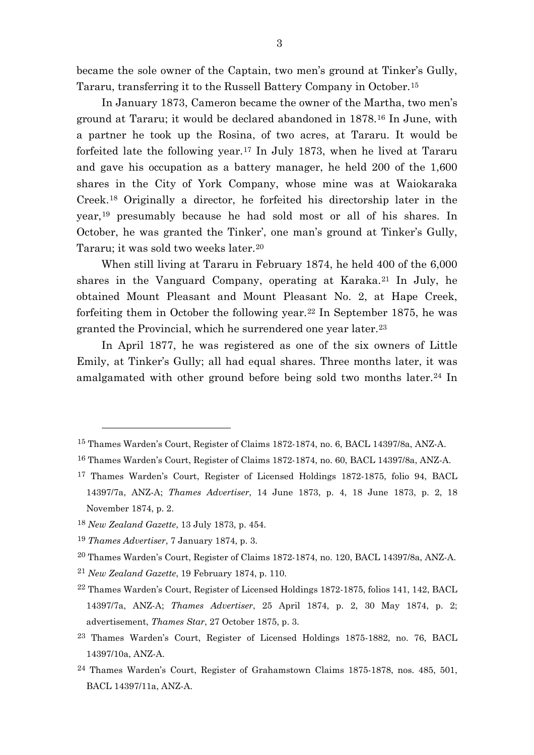became the sole owner of the Captain, two men's ground at Tinker's Gully, Tararu, transferring it to the Russell Battery Company in October.[15](#page-3-0)

In January 1873, Cameron became the owner of the Martha, two men's ground at Tararu; it would be declared abandoned in 1878.[16](#page-3-1) In June, with a partner he took up the Rosina, of two acres, at Tararu. It would be forfeited late the following year.[17](#page-3-2) In July 1873, when he lived at Tararu and gave his occupation as a battery manager, he held 200 of the 1,600 shares in the City of York Company, whose mine was at Waiokaraka Creek.[18](#page-3-3) Originally a director, he forfeited his directorship later in the year,[19](#page-3-4) presumably because he had sold most or all of his shares. In October, he was granted the Tinker', one man's ground at Tinker's Gully, Tararu; it was sold two weeks later.[20](#page-3-5)

When still living at Tararu in February 1874, he held 400 of the 6,000 shares in the Vanguard Company, operating at Karaka.[21](#page-3-6) In July, he obtained Mount Pleasant and Mount Pleasant No. 2, at Hape Creek, forfeiting them in October the following year.[22](#page-3-7) In September 1875, he was granted the Provincial, which he surrendered one year later.[23](#page-3-8)

In April 1877, he was registered as one of the six owners of Little Emily, at Tinker's Gully; all had equal shares. Three months later, it was amalgamated with other ground before being sold two months later.<sup>[24](#page-3-9)</sup> In

 $\overline{a}$ 

<span id="page-3-6"></span><sup>21</sup> *New Zealand Gazette*, 19 February 1874, p. 110.

<span id="page-3-0"></span><sup>15</sup> Thames Warden's Court, Register of Claims 1872-1874, no. 6, BACL 14397/8a, ANZ-A.

<span id="page-3-1"></span><sup>16</sup> Thames Warden's Court, Register of Claims 1872-1874, no. 60, BACL 14397/8a, ANZ-A.

<span id="page-3-2"></span><sup>17</sup> Thames Warden's Court, Register of Licensed Holdings 1872-1875, folio 94, BACL 14397/7a, ANZ-A; *Thames Advertiser*, 14 June 1873, p. 4, 18 June 1873, p. 2, 18 November 1874, p. 2.

<span id="page-3-3"></span><sup>18</sup> *New Zealand Gazette*, 13 July 1873, p. 454.

<span id="page-3-4"></span><sup>19</sup> *Thames Advertiser*, 7 January 1874, p. 3.

<span id="page-3-5"></span><sup>20</sup> Thames Warden's Court, Register of Claims 1872-1874, no. 120, BACL 14397/8a, ANZ-A.

<span id="page-3-7"></span><sup>22</sup> Thames Warden's Court, Register of Licensed Holdings 1872-1875, folios 141, 142, BACL 14397/7a, ANZ-A; *Thames Advertiser*, 25 April 1874, p. 2, 30 May 1874, p. 2; advertisement, *Thames Star*, 27 October 1875, p. 3.

<span id="page-3-8"></span><sup>23</sup> Thames Warden's Court, Register of Licensed Holdings 1875-1882, no. 76, BACL 14397/10a, ANZ-A.

<span id="page-3-9"></span><sup>24</sup> Thames Warden's Court, Register of Grahamstown Claims 1875-1878, nos. 485, 501, BACL 14397/11a, ANZ-A.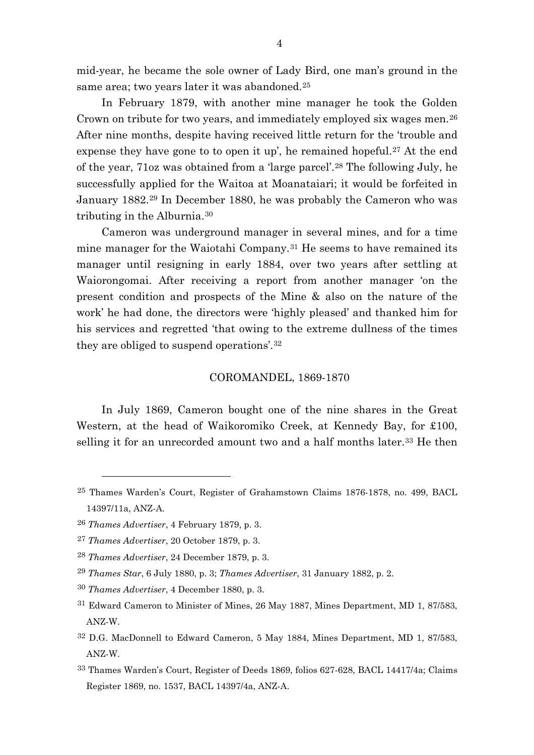mid-year, he became the sole owner of Lady Bird, one man's ground in the same area; two years later it was abandoned.[25](#page-4-0)

In February 1879, with another mine manager he took the Golden Crown on tribute for two years, and immediately employed six wages men.[26](#page-4-1) After nine months, despite having received little return for the 'trouble and expense they have gone to to open it up', he remained hopeful.<sup>[27](#page-4-2)</sup> At the end of the year, 71oz was obtained from a 'large parcel'.[28](#page-4-3) The following July, he successfully applied for the Waitoa at Moanataiari; it would be forfeited in January 1882.[29](#page-4-4) In December 1880, he was probably the Cameron who was tributing in the Alburnia.[30](#page-4-5)

Cameron was underground manager in several mines, and for a time mine manager for the Waiotahi Company.[31](#page-4-6) He seems to have remained its manager until resigning in early 1884, over two years after settling at Waiorongomai. After receiving a report from another manager 'on the present condition and prospects of the Mine & also on the nature of the work' he had done, the directors were 'highly pleased' and thanked him for his services and regretted 'that owing to the extreme dullness of the times they are obliged to suspend operations'.[32](#page-4-7)

#### COROMANDEL, 1869-1870

In July 1869, Cameron bought one of the nine shares in the Great Western, at the head of Waikoromiko Creek, at Kennedy Bay, for £100, selling it for an unrecorded amount two and a half months later.<sup>[33](#page-4-8)</sup> He then

- <span id="page-4-4"></span><sup>29</sup> *Thames Star*, 6 July 1880, p. 3; *Thames Advertiser*, 31 January 1882, p. 2.
- <span id="page-4-5"></span><sup>30</sup> *Thames Advertiser*, 4 December 1880, p. 3.
- <span id="page-4-6"></span>31 Edward Cameron to Minister of Mines, 26 May 1887, Mines Department, MD 1, 87/583, ANZ-W.
- <span id="page-4-7"></span>32 D.G. MacDonnell to Edward Cameron, 5 May 1884, Mines Department, MD 1, 87/583, ANZ-W.
- <span id="page-4-8"></span>33 Thames Warden's Court, Register of Deeds 1869, folios 627-628, BACL 14417/4a; Claims Register 1869, no. 1537, BACL 14397/4a, ANZ-A.

<span id="page-4-0"></span><sup>25</sup> Thames Warden's Court, Register of Grahamstown Claims 1876-1878, no. 499, BACL 14397/11a, ANZ-A.

<span id="page-4-1"></span><sup>26</sup> *Thames Advertiser*, 4 February 1879, p. 3.

<span id="page-4-2"></span><sup>27</sup> *Thames Advertiser*, 20 October 1879, p. 3.

<span id="page-4-3"></span><sup>28</sup> *Thames Advertiser*, 24 December 1879, p. 3.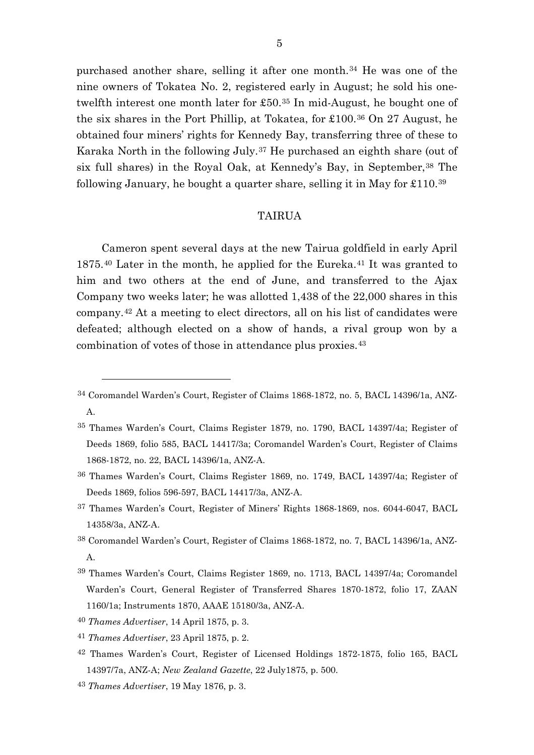purchased another share, selling it after one month.[34](#page-5-0) He was one of the nine owners of Tokatea No. 2, registered early in August; he sold his onetwelfth interest one month later for £50.[35](#page-5-1) In mid-August, he bought one of the six shares in the Port Phillip, at Tokatea, for £100.[36](#page-5-2) On 27 August, he obtained four miners' rights for Kennedy Bay, transferring three of these to Karaka North in the following July.[37](#page-5-3) He purchased an eighth share (out of six full shares) in the Royal Oak, at Kennedy's Bay, in September, <sup>[38](#page-5-4)</sup> The following January, he bought a quarter share, selling it in May for  $\text{\pounds}110.^{39}$  $\text{\pounds}110.^{39}$  $\text{\pounds}110.^{39}$ 

#### TAIRUA

Cameron spent several days at the new Tairua goldfield in early April 1875.[40](#page-5-6) Later in the month, he applied for the Eureka.[41](#page-5-7) It was granted to him and two others at the end of June, and transferred to the Ajax Company two weeks later; he was allotted 1,438 of the 22,000 shares in this company.[42](#page-5-8) At a meeting to elect directors, all on his list of candidates were defeated; although elected on a show of hands, a rival group won by a combination of votes of those in attendance plus proxies.[43](#page-5-9)

<span id="page-5-0"></span><sup>34</sup> Coromandel Warden's Court, Register of Claims 1868-1872, no. 5, BACL 14396/1a, ANZ-A.

<span id="page-5-1"></span><sup>35</sup> Thames Warden's Court, Claims Register 1879, no. 1790, BACL 14397/4a; Register of Deeds 1869, folio 585, BACL 14417/3a; Coromandel Warden's Court, Register of Claims 1868-1872, no. 22, BACL 14396/1a, ANZ-A.

<span id="page-5-2"></span><sup>36</sup> Thames Warden's Court, Claims Register 1869, no. 1749, BACL 14397/4a; Register of Deeds 1869, folios 596-597, BACL 14417/3a, ANZ-A.

<span id="page-5-3"></span><sup>37</sup> Thames Warden's Court, Register of Miners' Rights 1868-1869, nos. 6044-6047, BACL 14358/3a, ANZ-A.

<span id="page-5-4"></span><sup>38</sup> Coromandel Warden's Court, Register of Claims 1868-1872, no. 7, BACL 14396/1a, ANZ-A.

<span id="page-5-5"></span><sup>39</sup> Thames Warden's Court, Claims Register 1869, no. 1713, BACL 14397/4a; Coromandel Warden's Court, General Register of Transferred Shares 1870-1872, folio 17, ZAAN 1160/1a; Instruments 1870, AAAE 15180/3a, ANZ-A.

<span id="page-5-6"></span><sup>40</sup> *Thames Advertiser*, 14 April 1875, p. 3.

<span id="page-5-7"></span><sup>41</sup> *Thames Advertiser*, 23 April 1875, p. 2.

<span id="page-5-8"></span><sup>42</sup> Thames Warden's Court, Register of Licensed Holdings 1872-1875, folio 165, BACL 14397/7a, ANZ-A; *New Zealand Gazette*, 22 July1875, p. 500.

<span id="page-5-9"></span><sup>43</sup> *Thames Advertiser*, 19 May 1876, p. 3.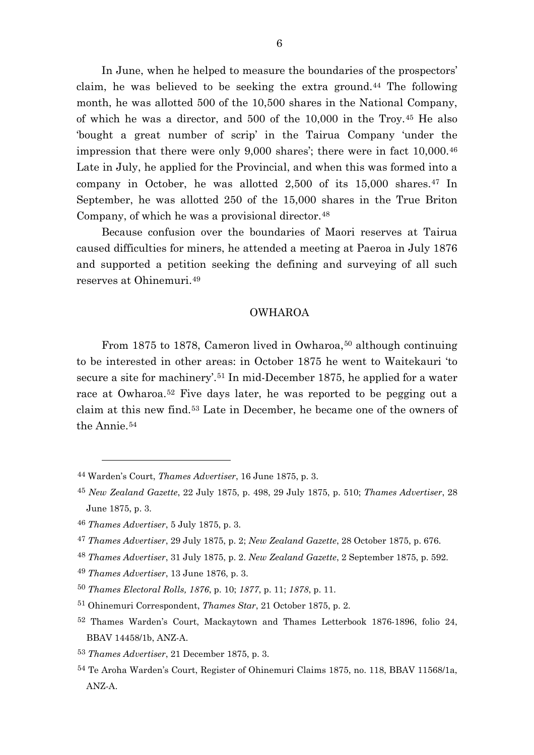In June, when he helped to measure the boundaries of the prospectors' claim, he was believed to be seeking the extra ground.[44](#page-6-0) The following month, he was allotted 500 of the 10,500 shares in the National Company, of which he was a director, and 500 of the 10,000 in the Troy.[45](#page-6-1) He also 'bought a great number of scrip' in the Tairua Company 'under the impression that there were only 9,000 shares'; there were in fact 10,000.[46](#page-6-2) Late in July, he applied for the Provincial, and when this was formed into a company in October, he was allotted  $2,500$  of its  $15,000$  shares.<sup>[47](#page-6-3)</sup> In September, he was allotted 250 of the 15,000 shares in the True Briton Company, of which he was a provisional director.<sup>[48](#page-6-4)</sup>

Because confusion over the boundaries of Maori reserves at Tairua caused difficulties for miners, he attended a meeting at Paeroa in July 1876 and supported a petition seeking the defining and surveying of all such reserves at Ohinemuri.[49](#page-6-5)

#### OWHAROA

From 1875 to 1878, Cameron lived in Owharoa,<sup>[50](#page-6-6)</sup> although continuing to be interested in other areas: in October 1875 he went to Waitekauri 'to secure a site for machinery'.<sup>[51](#page-6-7)</sup> In mid-December 1875, he applied for a water race at Owharoa.[52](#page-6-8) Five days later, he was reported to be pegging out a claim at this new find.[53](#page-6-9) Late in December, he became one of the owners of the Annie.<sup>[54](#page-6-10)</sup>

 $\overline{a}$ 

<span id="page-6-5"></span><sup>49</sup> *Thames Advertiser*, 13 June 1876, p. 3.

<span id="page-6-0"></span><sup>44</sup> Warden's Court, *Thames Advertiser*, 16 June 1875, p. 3.

<span id="page-6-1"></span><sup>45</sup> *New Zealand Gazette*, 22 July 1875, p. 498, 29 July 1875, p. 510; *Thames Advertiser*, 28 June 1875, p. 3.

<span id="page-6-2"></span><sup>46</sup> *Thames Advertiser*, 5 July 1875, p. 3.

<span id="page-6-3"></span><sup>47</sup> *Thames Advertiser*, 29 July 1875, p. 2; *New Zealand Gazette*, 28 October 1875, p. 676.

<span id="page-6-4"></span><sup>48</sup> *Thames Advertiser*, 31 July 1875, p. 2. *New Zealand Gazette*, 2 September 1875, p. 592.

<span id="page-6-6"></span><sup>50</sup> *Thames Electoral Rolls, 1876*, p. 10; *1877*, p. 11; *1878*, p. 11.

<span id="page-6-7"></span><sup>51</sup> Ohinemuri Correspondent, *Thames Star*, 21 October 1875, p. 2.

<span id="page-6-8"></span><sup>52</sup> Thames Warden's Court, Mackaytown and Thames Letterbook 1876-1896, folio 24, BBAV 14458/1b, ANZ-A.

<span id="page-6-9"></span><sup>53</sup> *Thames Advertiser*, 21 December 1875, p. 3.

<span id="page-6-10"></span><sup>54</sup> Te Aroha Warden's Court, Register of Ohinemuri Claims 1875, no. 118, BBAV 11568/1a, ANZ-A.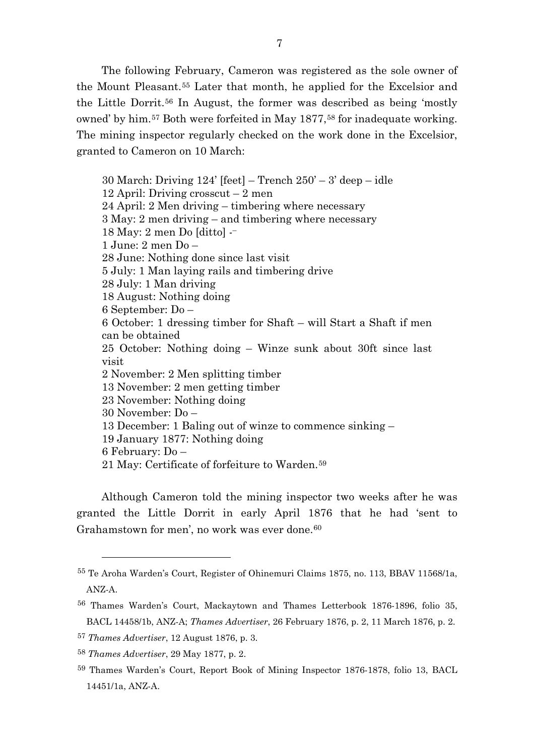The following February, Cameron was registered as the sole owner of the Mount Pleasant.[55](#page-7-0) Later that month, he applied for the Excelsior and the Little Dorrit.[56](#page-7-1) In August, the former was described as being 'mostly owned' by him.<sup>[57](#page-7-2)</sup> Both were forfeited in May 1877,<sup>[58](#page-7-3)</sup> for inadequate working. The mining inspector regularly checked on the work done in the Excelsior, granted to Cameron on 10 March:

30 March: Driving  $124'$  [feet] – Trench  $250' - 3'$  deep – idle 12 April: Driving crosscut – 2 men 24 April: 2 Men driving – timbering where necessary 3 May: 2 men driving – and timbering where necessary 18 May: 2 men Do [ditto] -– 1 June: 2 men Do – 28 June: Nothing done since last visit 5 July: 1 Man laying rails and timbering drive 28 July: 1 Man driving 18 August: Nothing doing 6 September: Do – 6 October: 1 dressing timber for Shaft – will Start a Shaft if men can be obtained 25 October: Nothing doing – Winze sunk about 30ft since last visit 2 November: 2 Men splitting timber 13 November: 2 men getting timber 23 November: Nothing doing 30 November: Do – 13 December: 1 Baling out of winze to commence sinking – 19 January 1877: Nothing doing 6 February: Do – 21 May: Certificate of forfeiture to Warden.[59](#page-7-4)

<span id="page-7-5"></span>Although Cameron told the mining inspector two weeks after he was granted the Little Dorrit in early April 1876 that he had 'sent to Grahamstown for men', no work was ever done.<sup>[60](#page-7-5)</sup>

<span id="page-7-0"></span><sup>55</sup> Te Aroha Warden's Court, Register of Ohinemuri Claims 1875, no. 113, BBAV 11568/1a, ANZ-A.

<span id="page-7-1"></span><sup>56</sup> Thames Warden's Court, Mackaytown and Thames Letterbook 1876-1896, folio 35, BACL 14458/1b, ANZ-A; *Thames Advertiser*, 26 February 1876, p. 2, 11 March 1876, p. 2.

<span id="page-7-2"></span><sup>57</sup> *Thames Advertiser*, 12 August 1876, p. 3.

<span id="page-7-3"></span><sup>58</sup> *Thames Advertiser*, 29 May 1877, p. 2.

<span id="page-7-4"></span><sup>59</sup> Thames Warden's Court, Report Book of Mining Inspector 1876-1878, folio 13, BACL 14451/1a, ANZ-A.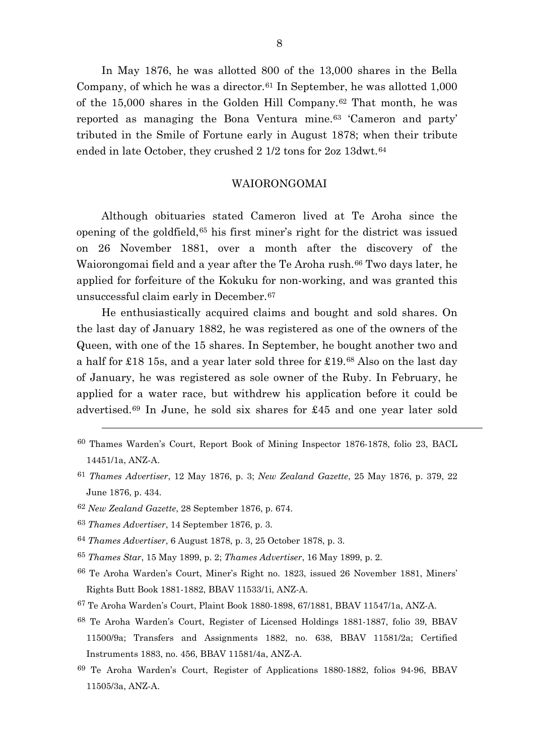In May 1876, he was allotted 800 of the 13,000 shares in the Bella Company, of which he was a director.<sup>[61](#page-8-0)</sup> In September, he was allotted  $1,000$ of the 15,000 shares in the Golden Hill Company.[62](#page-8-1) That month, he was reported as managing the Bona Ventura mine.[63](#page-8-2) 'Cameron and party' tributed in the Smile of Fortune early in August 1878; when their tribute ended in late October, they crushed 2 1/2 tons for 2oz 13dwt.[64](#page-8-3)

## WAIORONGOMAI

Although obituaries stated Cameron lived at Te Aroha since the opening of the goldfield,[65](#page-8-4) his first miner's right for the district was issued on 26 November 1881, over a month after the discovery of the Waiorongomai field and a year after the Te Aroha rush.<sup>[66](#page-8-5)</sup> Two days later, he applied for forfeiture of the Kokuku for non-working, and was granted this unsuccessful claim early in December.[67](#page-8-6)

He enthusiastically acquired claims and bought and sold shares. On the last day of January 1882, he was registered as one of the owners of the Queen, with one of the 15 shares. In September, he bought another two and a half for £18 15s, and a year later sold three for £19.[68](#page-8-7) Also on the last day of January, he was registered as sole owner of the Ruby. In February, he applied for a water race, but withdrew his application before it could be advertised.[69](#page-8-8) In June, he sold six shares for £45 and one year later sold

- 60 Thames Warden's Court, Report Book of Mining Inspector 1876-1878, folio 23, BACL 14451/1a, ANZ-A.
- <span id="page-8-0"></span><sup>61</sup> *Thames Advertiser*, 12 May 1876, p. 3; *New Zealand Gazette*, 25 May 1876, p. 379, 22 June 1876, p. 434.
- <span id="page-8-1"></span><sup>62</sup> *New Zealand Gazette*, 28 September 1876, p. 674.
- <span id="page-8-2"></span><sup>63</sup> *Thames Advertiser*, 14 September 1876, p. 3.

- <span id="page-8-3"></span><sup>64</sup> *Thames Advertiser*, 6 August 1878, p. 3, 25 October 1878, p. 3.
- <span id="page-8-4"></span><sup>65</sup> *Thames Star*, 15 May 1899, p. 2; *Thames Advertiser*, 16 May 1899, p. 2.
- <span id="page-8-5"></span>66 Te Aroha Warden's Court, Miner's Right no. 1823, issued 26 November 1881, Miners' Rights Butt Book 1881-1882, BBAV 11533/1i, ANZ-A.
- <span id="page-8-6"></span>67 Te Aroha Warden's Court, Plaint Book 1880-1898, 67/1881, BBAV 11547/1a, ANZ-A.
- <span id="page-8-7"></span>68 Te Aroha Warden's Court, Register of Licensed Holdings 1881-1887, folio 39, BBAV 11500/9a; Transfers and Assignments 1882, no. 638, BBAV 11581/2a; Certified Instruments 1883, no. 456, BBAV 11581/4a, ANZ-A.
- <span id="page-8-8"></span>69 Te Aroha Warden's Court, Register of Applications 1880-1882, folios 94-96, BBAV 11505/3a, ANZ-A.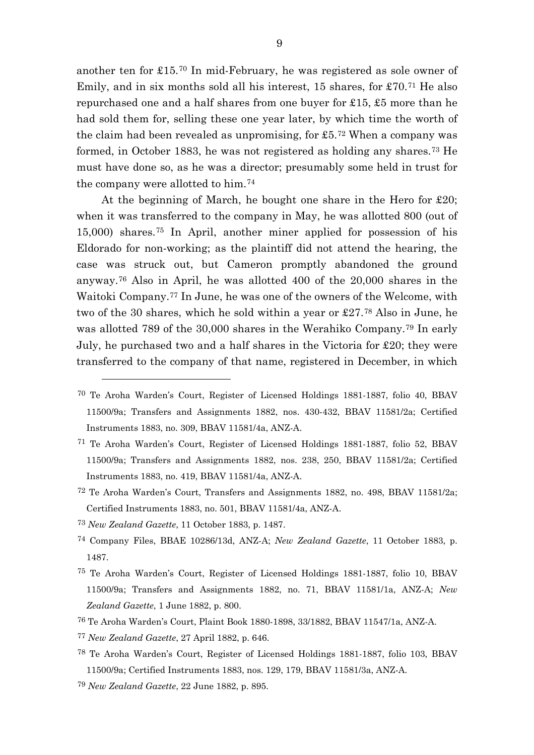another ten for £15.[70](#page-9-0) In mid-February, he was registered as sole owner of Emily, and in six months sold all his interest, 15 shares, for £70.[71](#page-9-1) He also repurchased one and a half shares from one buyer for £15, £5 more than he had sold them for, selling these one year later, by which time the worth of the claim had been revealed as unpromising, for  $£5.^{72}$  $£5.^{72}$  $£5.^{72}$  When a company was formed, in October 1883, he was not registered as holding any shares.[73](#page-9-3) He must have done so, as he was a director; presumably some held in trust for the company were allotted to him.[74](#page-9-4)

At the beginning of March, he bought one share in the Hero for £20; when it was transferred to the company in May, he was allotted 800 (out of 15,000) shares.[75](#page-9-5) In April, another miner applied for possession of his Eldorado for non-working; as the plaintiff did not attend the hearing, the case was struck out, but Cameron promptly abandoned the ground anyway.[76](#page-9-6) Also in April, he was allotted 400 of the 20,000 shares in the Waitoki Company.[77](#page-9-7) In June, he was one of the owners of the Welcome, with two of the 30 shares, which he sold within a year or £27.[78](#page-9-8) Also in June, he was allotted 789 of the 30,000 shares in the Werahiko Company.[79](#page-9-9) In early July, he purchased two and a half shares in the Victoria for £20; they were transferred to the company of that name, registered in December, in which

<span id="page-9-3"></span><sup>73</sup> *New Zealand Gazette*, 11 October 1883, p. 1487.

- <span id="page-9-4"></span><sup>74</sup> Company Files, BBAE 10286/13d, ANZ-A; *New Zealand Gazette*, 11 October 1883, p. 1487.
- <span id="page-9-5"></span>75 Te Aroha Warden's Court, Register of Licensed Holdings 1881-1887, folio 10, BBAV 11500/9a; Transfers and Assignments 1882, no. 71, BBAV 11581/1a, ANZ-A; *New Zealand Gazette*, 1 June 1882, p. 800.
- <span id="page-9-6"></span>76 Te Aroha Warden's Court, Plaint Book 1880-1898, 33/1882, BBAV 11547/1a, ANZ-A.
- <span id="page-9-7"></span><sup>77</sup> *New Zealand Gazette*, 27 April 1882, p. 646.
- <span id="page-9-8"></span>78 Te Aroha Warden's Court, Register of Licensed Holdings 1881-1887, folio 103, BBAV 11500/9a; Certified Instruments 1883, nos. 129, 179, BBAV 11581/3a, ANZ-A.
- <span id="page-9-9"></span><sup>79</sup> *New Zealand Gazette*, 22 June 1882, p. 895.

<span id="page-9-0"></span><sup>70</sup> Te Aroha Warden's Court, Register of Licensed Holdings 1881-1887, folio 40, BBAV 11500/9a; Transfers and Assignments 1882, nos. 430-432, BBAV 11581/2a; Certified Instruments 1883, no. 309, BBAV 11581/4a, ANZ-A.

<span id="page-9-1"></span><sup>71</sup> Te Aroha Warden's Court, Register of Licensed Holdings 1881-1887, folio 52, BBAV 11500/9a; Transfers and Assignments 1882, nos. 238, 250, BBAV 11581/2a; Certified Instruments 1883, no. 419, BBAV 11581/4a, ANZ-A.

<span id="page-9-2"></span><sup>72</sup> Te Aroha Warden's Court, Transfers and Assignments 1882, no. 498, BBAV 11581/2a; Certified Instruments 1883, no. 501, BBAV 11581/4a, ANZ-A.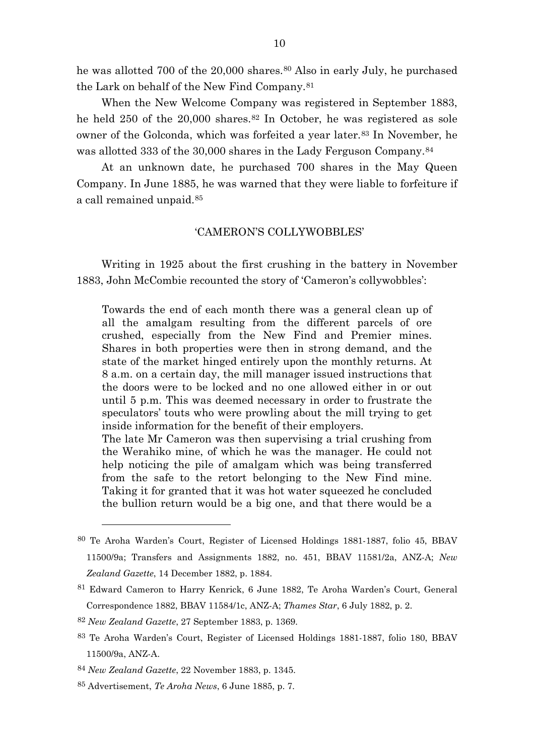he was allotted 700 of the 20,000 shares.<sup>[80](#page-10-0)</sup> Also in early July, he purchased the Lark on behalf of the New Find Company.[81](#page-10-1)

When the New Welcome Company was registered in September 1883, he held 250 of the 20,000 shares.<sup>[82](#page-10-2)</sup> In October, he was registered as sole owner of the Golconda, which was forfeited a year later.[83](#page-10-3) In November, he was allotted 333 of the 30,000 shares in the Lady Ferguson Company.[84](#page-10-4)

At an unknown date, he purchased 700 shares in the May Queen Company. In June 1885, he was warned that they were liable to forfeiture if a call remained unpaid.[85](#page-10-5)

### 'CAMERON'S COLLYWOBBLES'

Writing in 1925 about the first crushing in the battery in November 1883, John McCombie recounted the story of 'Cameron's collywobbles':

Towards the end of each month there was a general clean up of all the amalgam resulting from the different parcels of ore crushed, especially from the New Find and Premier mines. Shares in both properties were then in strong demand, and the state of the market hinged entirely upon the monthly returns. At 8 a.m. on a certain day, the mill manager issued instructions that the doors were to be locked and no one allowed either in or out until 5 p.m. This was deemed necessary in order to frustrate the speculators' touts who were prowling about the mill trying to get inside information for the benefit of their employers. The late Mr Cameron was then supervising a trial crushing from the Werahiko mine, of which he was the manager. He could not

help noticing the pile of amalgam which was being transferred from the safe to the retort belonging to the New Find mine. Taking it for granted that it was hot water squeezed he concluded the bullion return would be a big one, and that there would be a

<span id="page-10-0"></span><sup>80</sup> Te Aroha Warden's Court, Register of Licensed Holdings 1881-1887, folio 45, BBAV 11500/9a; Transfers and Assignments 1882, no. 451, BBAV 11581/2a, ANZ-A; *New Zealand Gazette*, 14 December 1882, p. 1884.

<span id="page-10-1"></span><sup>81</sup> Edward Cameron to Harry Kenrick, 6 June 1882, Te Aroha Warden's Court, General Correspondence 1882, BBAV 11584/1c, ANZ-A; *Thames Star*, 6 July 1882, p. 2.

<span id="page-10-2"></span><sup>82</sup> *New Zealand Gazette*, 27 September 1883, p. 1369.

<span id="page-10-3"></span><sup>83</sup> Te Aroha Warden's Court, Register of Licensed Holdings 1881-1887, folio 180, BBAV 11500/9a, ANZ-A.

<span id="page-10-4"></span><sup>84</sup> *New Zealand Gazette*, 22 November 1883, p. 1345.

<span id="page-10-5"></span><sup>85</sup> Advertisement, *Te Aroha News*, 6 June 1885, p. 7.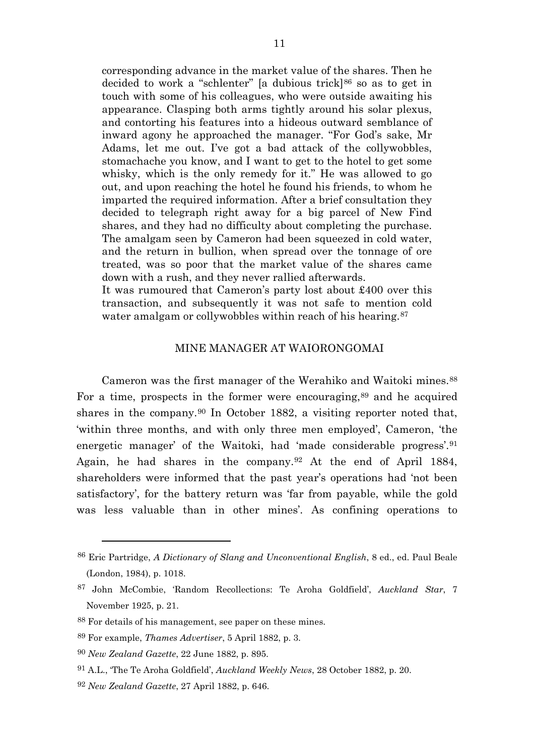corresponding advance in the market value of the shares. Then he decided to work a "schlenter" [a dubious trick]<sup>[86](#page-11-0)</sup> so as to get in touch with some of his colleagues, who were outside awaiting his appearance. Clasping both arms tightly around his solar plexus, and contorting his features into a hideous outward semblance of inward agony he approached the manager. "For God's sake, Mr Adams, let me out. I've got a bad attack of the collywobbles, stomachache you know, and I want to get to the hotel to get some whisky, which is the only remedy for it." He was allowed to go out, and upon reaching the hotel he found his friends, to whom he imparted the required information. After a brief consultation they decided to telegraph right away for a big parcel of New Find shares, and they had no difficulty about completing the purchase. The amalgam seen by Cameron had been squeezed in cold water, and the return in bullion, when spread over the tonnage of ore treated, was so poor that the market value of the shares came down with a rush, and they never rallied afterwards.

It was rumoured that Cameron's party lost about £400 over this transaction, and subsequently it was not safe to mention cold water amalgam or collywobbles within reach of his hearing.<sup>[87](#page-11-1)</sup>

#### MINE MANAGER AT WAIORONGOMAI

Cameron was the first manager of the Werahiko and Waitoki mines.[88](#page-11-2) For a time, prospects in the former were encouraging,<sup>[89](#page-11-3)</sup> and he acquired shares in the company.<sup>[90](#page-11-4)</sup> In October 1882, a visiting reporter noted that, 'within three months, and with only three men employed', Cameron, 'the energetic manager' of the Waitoki, had 'made considerable progress'.[91](#page-11-5) Again, he had shares in the company.[92](#page-11-6) At the end of April 1884, shareholders were informed that the past year's operations had 'not been satisfactory', for the battery return was 'far from payable, while the gold was less valuable than in other mines'. As confining operations to

<span id="page-11-0"></span><sup>86</sup> Eric Partridge, *A Dictionary of Slang and Unconventional English*, 8 ed., ed. Paul Beale (London, 1984), p. 1018.

<span id="page-11-1"></span><sup>87</sup> John McCombie, 'Random Recollections: Te Aroha Goldfield', *Auckland Star*, 7 November 1925, p. 21.

<span id="page-11-2"></span><sup>88</sup> For details of his management, see paper on these mines.

<span id="page-11-3"></span><sup>89</sup> For example, *Thames Advertiser*, 5 April 1882, p. 3.

<span id="page-11-4"></span><sup>90</sup> *New Zealand Gazette*, 22 June 1882, p. 895.

<span id="page-11-5"></span><sup>91</sup> A.L., 'The Te Aroha Goldfield', *Auckland Weekly News*, 28 October 1882, p. 20.

<span id="page-11-6"></span><sup>92</sup> *New Zealand Gazette*, 27 April 1882, p. 646.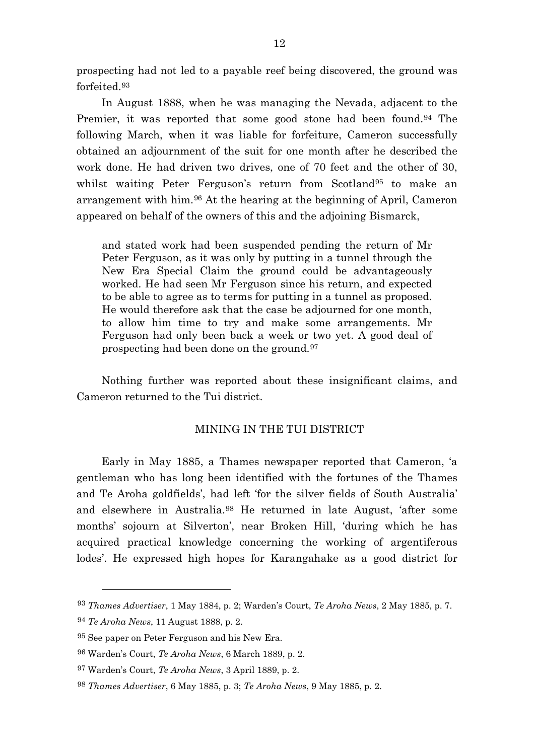prospecting had not led to a payable reef being discovered, the ground was forfeited.[93](#page-12-0)

In August 1888, when he was managing the Nevada, adjacent to the Premier, it was reported that some good stone had been found.<sup>[94](#page-12-1)</sup> The following March, when it was liable for forfeiture, Cameron successfully obtained an adjournment of the suit for one month after he described the work done. He had driven two drives, one of 70 feet and the other of 30, whilst waiting Peter Ferguson's return from Scotland<sup>[95](#page-12-2)</sup> to make an arrangement with him.[96](#page-12-3) At the hearing at the beginning of April, Cameron appeared on behalf of the owners of this and the adjoining Bismarck,

and stated work had been suspended pending the return of Mr Peter Ferguson, as it was only by putting in a tunnel through the New Era Special Claim the ground could be advantageously worked. He had seen Mr Ferguson since his return, and expected to be able to agree as to terms for putting in a tunnel as proposed. He would therefore ask that the case be adjourned for one month, to allow him time to try and make some arrangements. Mr Ferguson had only been back a week or two yet. A good deal of prospecting had been done on the ground.[97](#page-12-4)

Nothing further was reported about these insignificant claims, and Cameron returned to the Tui district.

## MINING IN THE TUI DISTRICT

Early in May 1885, a Thames newspaper reported that Cameron, 'a gentleman who has long been identified with the fortunes of the Thames and Te Aroha goldfields', had left 'for the silver fields of South Australia' and elsewhere in Australia.[98](#page-12-5) He returned in late August, 'after some months' sojourn at Silverton', near Broken Hill, 'during which he has acquired practical knowledge concerning the working of argentiferous lodes'. He expressed high hopes for Karangahake as a good district for

<span id="page-12-0"></span><sup>93</sup> *Thames Advertiser*, 1 May 1884, p. 2; Warden's Court, *Te Aroha News*, 2 May 1885, p. 7.

<span id="page-12-1"></span><sup>94</sup> *Te Aroha News*, 11 August 1888, p. 2.

<span id="page-12-2"></span><sup>95</sup> See paper on Peter Ferguson and his New Era.

<span id="page-12-3"></span><sup>96</sup> Warden's Court, *Te Aroha News*, 6 March 1889, p. 2.

<span id="page-12-4"></span><sup>97</sup> Warden's Court, *Te Aroha News*, 3 April 1889, p. 2.

<span id="page-12-5"></span><sup>98</sup> *Thames Advertiser*, 6 May 1885, p. 3; *Te Aroha News*, 9 May 1885, p. 2.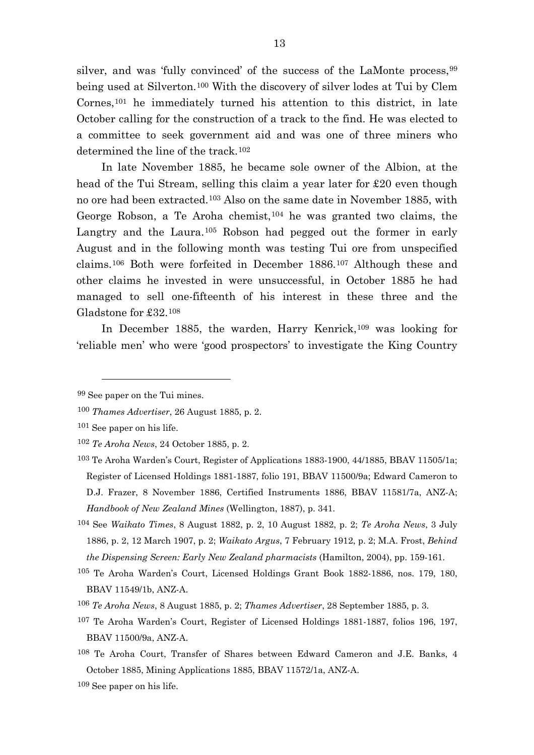silver, and was 'fully convinced' of the success of the LaMonte process, [99](#page-13-0) being used at Silverton.[100](#page-13-1) With the discovery of silver lodes at Tui by Clem Cornes,[101](#page-13-2) he immediately turned his attention to this district, in late October calling for the construction of a track to the find. He was elected to a committee to seek government aid and was one of three miners who determined the line of the track.<sup>[102](#page-13-3)</sup>

In late November 1885, he became sole owner of the Albion, at the head of the Tui Stream, selling this claim a year later for £20 even though no ore had been extracted.[103](#page-13-4) Also on the same date in November 1885, with George Robson, a Te Aroha chemist,  $104$  he was granted two claims, the Langtry and the Laura.<sup>[105](#page-13-6)</sup> Robson had pegged out the former in early August and in the following month was testing Tui ore from unspecified claims.[106](#page-13-7) Both were forfeited in December 1886.[107](#page-13-8) Although these and other claims he invested in were unsuccessful, in October 1885 he had managed to sell one-fifteenth of his interest in these three and the Gladstone for £32.[108](#page-13-9)

In December 1885, the warden, Harry Kenrick,<sup>[109](#page-13-10)</sup> was looking for 'reliable men' who were 'good prospectors' to investigate the King Country

 $\overline{a}$ 

<span id="page-13-6"></span>105 Te Aroha Warden's Court, Licensed Holdings Grant Book 1882-1886, nos. 179, 180, BBAV 11549/1b, ANZ-A.

- <span id="page-13-8"></span>107 Te Aroha Warden's Court, Register of Licensed Holdings 1881-1887, folios 196, 197, BBAV 11500/9a, ANZ-A.
- <span id="page-13-9"></span>108 Te Aroha Court, Transfer of Shares between Edward Cameron and J.E. Banks, 4 October 1885, Mining Applications 1885, BBAV 11572/1a, ANZ-A.

<span id="page-13-0"></span><sup>99</sup> See paper on the Tui mines.

<span id="page-13-1"></span><sup>100</sup> *Thames Advertiser*, 26 August 1885, p. 2.

<span id="page-13-2"></span><sup>101</sup> See paper on his life.

<span id="page-13-3"></span><sup>102</sup> *Te Aroha News*, 24 October 1885, p. 2.

<span id="page-13-4"></span><sup>103</sup> Te Aroha Warden's Court, Register of Applications 1883-1900, 44/1885, BBAV 11505/1a; Register of Licensed Holdings 1881-1887, folio 191, BBAV 11500/9a; Edward Cameron to D.J. Frazer, 8 November 1886, Certified Instruments 1886, BBAV 11581/7a, ANZ-A; *Handbook of New Zealand Mines* (Wellington, 1887), p. 341.

<span id="page-13-5"></span><sup>104</sup> See *Waikato Times*, 8 August 1882, p. 2, 10 August 1882, p. 2; *Te Aroha News*, 3 July 1886, p. 2, 12 March 1907, p. 2; *Waikato Argus*, 7 February 1912, p. 2; M.A. Frost, *Behind the Dispensing Screen: Early New Zealand pharmacists* (Hamilton, 2004), pp. 159-161.

<span id="page-13-7"></span><sup>106</sup> *Te Aroha News*, 8 August 1885, p. 2; *Thames Advertiser*, 28 September 1885, p. 3.

<span id="page-13-10"></span><sup>109</sup> See paper on his life.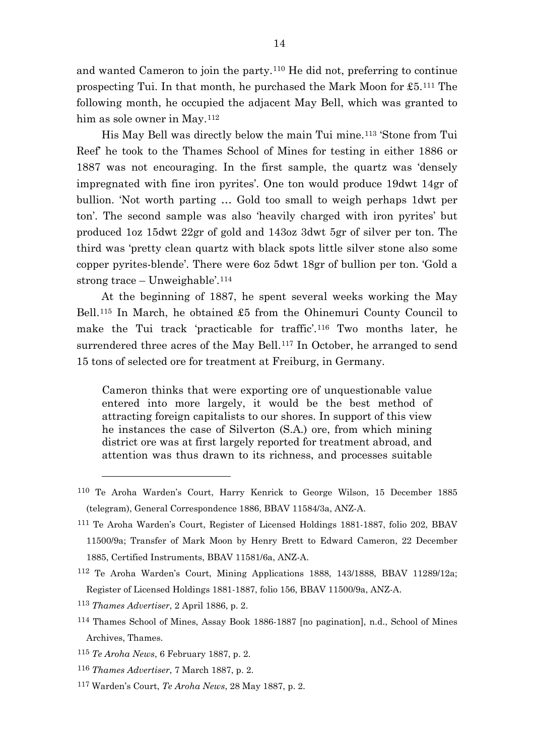and wanted Cameron to join the party.[110](#page-14-0) He did not, preferring to continue prospecting Tui. In that month, he purchased the Mark Moon for £5.[111](#page-14-1) The following month, he occupied the adjacent May Bell, which was granted to him as sole owner in May.<sup>[112](#page-14-2)</sup>

His May Bell was directly below the main Tui mine.[113](#page-14-3) 'Stone from Tui Reef' he took to the Thames School of Mines for testing in either 1886 or 1887 was not encouraging. In the first sample, the quartz was 'densely impregnated with fine iron pyrites'. One ton would produce 19dwt 14gr of bullion. 'Not worth parting … Gold too small to weigh perhaps 1dwt per ton'. The second sample was also 'heavily charged with iron pyrites' but produced 1oz 15dwt 22gr of gold and 143oz 3dwt 5gr of silver per ton. The third was 'pretty clean quartz with black spots little silver stone also some copper pyrites-blende'. There were 6oz 5dwt 18gr of bullion per ton. 'Gold a strong trace – Unweighable'.[114](#page-14-4)

At the beginning of 1887, he spent several weeks working the May Bell.[115](#page-14-5) In March, he obtained £5 from the Ohinemuri County Council to make the Tui track 'practicable for traffic'.[116](#page-14-6) Two months later, he surrendered three acres of the May Bell.<sup>[117](#page-14-7)</sup> In October, he arranged to send 15 tons of selected ore for treatment at Freiburg, in Germany.

Cameron thinks that were exporting ore of unquestionable value entered into more largely, it would be the best method of attracting foreign capitalists to our shores. In support of this view he instances the case of Silverton (S.A.) ore, from which mining district ore was at first largely reported for treatment abroad, and attention was thus drawn to its richness, and processes suitable

- <span id="page-14-5"></span><sup>115</sup> *Te Aroha News*, 6 February 1887, p. 2.
- <span id="page-14-6"></span><sup>116</sup> *Thames Advertiser*, 7 March 1887, p. 2.
- <span id="page-14-7"></span><sup>117</sup> Warden's Court, *Te Aroha News*, 28 May 1887, p. 2.

<span id="page-14-0"></span><sup>110</sup> Te Aroha Warden's Court, Harry Kenrick to George Wilson, 15 December 1885 (telegram), General Correspondence 1886, BBAV 11584/3a, ANZ-A.

<span id="page-14-1"></span><sup>111</sup> Te Aroha Warden's Court, Register of Licensed Holdings 1881-1887, folio 202, BBAV 11500/9a; Transfer of Mark Moon by Henry Brett to Edward Cameron, 22 December 1885, Certified Instruments, BBAV 11581/6a, ANZ-A.

<span id="page-14-2"></span><sup>112</sup> Te Aroha Warden's Court, Mining Applications 1888, 143/1888, BBAV 11289/12a; Register of Licensed Holdings 1881-1887, folio 156, BBAV 11500/9a, ANZ-A.

<span id="page-14-3"></span><sup>113</sup> *Thames Advertiser*, 2 April 1886, p. 2.

<span id="page-14-4"></span><sup>114</sup> Thames School of Mines, Assay Book 1886-1887 [no pagination], n.d., School of Mines Archives, Thames.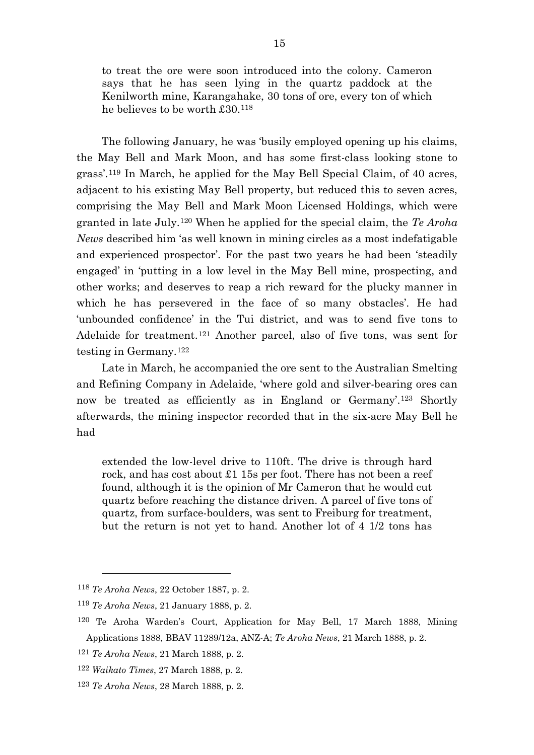to treat the ore were soon introduced into the colony. Cameron says that he has seen lying in the quartz paddock at the Kenilworth mine, Karangahake, 30 tons of ore, every ton of which he believes to be worth £30.[118](#page-15-0)

The following January, he was 'busily employed opening up his claims, the May Bell and Mark Moon, and has some first-class looking stone to grass'.[119](#page-15-1) In March, he applied for the May Bell Special Claim, of 40 acres, adjacent to his existing May Bell property, but reduced this to seven acres, comprising the May Bell and Mark Moon Licensed Holdings, which were granted in late July.[120](#page-15-2) When he applied for the special claim, the *Te Aroha News* described him 'as well known in mining circles as a most indefatigable and experienced prospector'. For the past two years he had been 'steadily engaged' in 'putting in a low level in the May Bell mine, prospecting, and other works; and deserves to reap a rich reward for the plucky manner in which he has persevered in the face of so many obstacles'. He had 'unbounded confidence' in the Tui district, and was to send five tons to Adelaide for treatment.<sup>[121](#page-15-3)</sup> Another parcel, also of five tons, was sent for testing in Germany.[122](#page-15-4)

Late in March, he accompanied the ore sent to the Australian Smelting and Refining Company in Adelaide, 'where gold and silver-bearing ores can now be treated as efficiently as in England or Germany'.[123](#page-15-5) Shortly afterwards, the mining inspector recorded that in the six-acre May Bell he had

extended the low-level drive to 110ft. The drive is through hard rock, and has cost about £1 15s per foot. There has not been a reef found, although it is the opinion of Mr Cameron that he would cut quartz before reaching the distance driven. A parcel of five tons of quartz, from surface-boulders, was sent to Freiburg for treatment, but the return is not yet to hand. Another lot of 4 1/2 tons has

<span id="page-15-0"></span><sup>118</sup> *Te Aroha News*, 22 October 1887, p. 2.

<span id="page-15-2"></span><span id="page-15-1"></span><sup>119</sup> *Te Aroha News*, 21 January 1888, p. 2.

<sup>120</sup> Te Aroha Warden's Court, Application for May Bell, 17 March 1888, Mining Applications 1888, BBAV 11289/12a, ANZ-A; *Te Aroha News*, 21 March 1888, p. 2.

<span id="page-15-3"></span><sup>121</sup> *Te Aroha News*, 21 March 1888, p. 2.

<span id="page-15-4"></span><sup>122</sup> *Waikato Times*, 27 March 1888, p. 2.

<span id="page-15-5"></span><sup>123</sup> *Te Aroha News*, 28 March 1888, p. 2.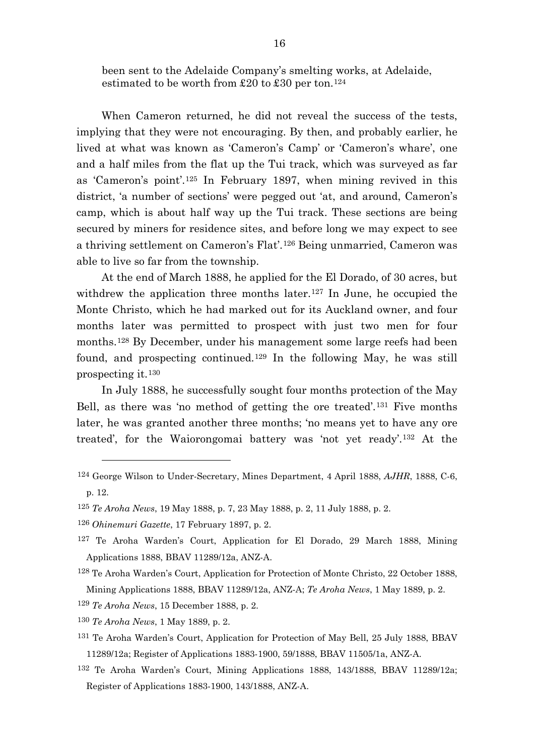been sent to the Adelaide Company's smelting works, at Adelaide, estimated to be worth from £20 to £30 per ton.<sup>[124](#page-16-0)</sup>

When Cameron returned, he did not reveal the success of the tests, implying that they were not encouraging. By then, and probably earlier, he lived at what was known as 'Cameron's Camp' or 'Cameron's whare', one and a half miles from the flat up the Tui track, which was surveyed as far as 'Cameron's point'.[125](#page-16-1) In February 1897, when mining revived in this district, 'a number of sections' were pegged out 'at, and around, Cameron's camp, which is about half way up the Tui track. These sections are being secured by miners for residence sites, and before long we may expect to see a thriving settlement on Cameron's Flat'.[126](#page-16-2) Being unmarried, Cameron was able to live so far from the township.

At the end of March 1888, he applied for the El Dorado, of 30 acres, but withdrew the application three months later.<sup>[127](#page-16-3)</sup> In June, he occupied the Monte Christo, which he had marked out for its Auckland owner, and four months later was permitted to prospect with just two men for four months.[128](#page-16-4) By December, under his management some large reefs had been found, and prospecting continued.[129](#page-16-5) In the following May, he was still prospecting it.[130](#page-16-6)

In July 1888, he successfully sought four months protection of the May Bell, as there was 'no method of getting the ore treated'.[131](#page-16-7) Five months later, he was granted another three months; 'no means yet to have any ore treated', for the Waiorongomai battery was 'not yet ready'.[132](#page-16-8) At the

- <span id="page-16-4"></span>128 Te Aroha Warden's Court, Application for Protection of Monte Christo, 22 October 1888, Mining Applications 1888, BBAV 11289/12a, ANZ-A; *Te Aroha News*, 1 May 1889, p. 2.
- <span id="page-16-5"></span><sup>129</sup> *Te Aroha News*, 15 December 1888, p. 2.
- <span id="page-16-6"></span><sup>130</sup> *Te Aroha News*, 1 May 1889, p. 2.

- <span id="page-16-7"></span>131 Te Aroha Warden's Court, Application for Protection of May Bell, 25 July 1888, BBAV 11289/12a; Register of Applications 1883-1900, 59/1888, BBAV 11505/1a, ANZ-A.
- <span id="page-16-8"></span>132 Te Aroha Warden's Court, Mining Applications 1888, 143/1888, BBAV 11289/12a; Register of Applications 1883-1900, 143/1888, ANZ-A.

<span id="page-16-0"></span><sup>124</sup> George Wilson to Under-Secretary, Mines Department, 4 April 1888, *AJHR*, 1888, C-6, p. 12.

<span id="page-16-1"></span><sup>125</sup> *Te Aroha News*, 19 May 1888, p. 7, 23 May 1888, p. 2, 11 July 1888, p. 2.

<span id="page-16-2"></span><sup>126</sup> *Ohinemuri Gazette*, 17 February 1897, p. 2.

<span id="page-16-3"></span><sup>127</sup> Te Aroha Warden's Court, Application for El Dorado, 29 March 1888, Mining Applications 1888, BBAV 11289/12a, ANZ-A.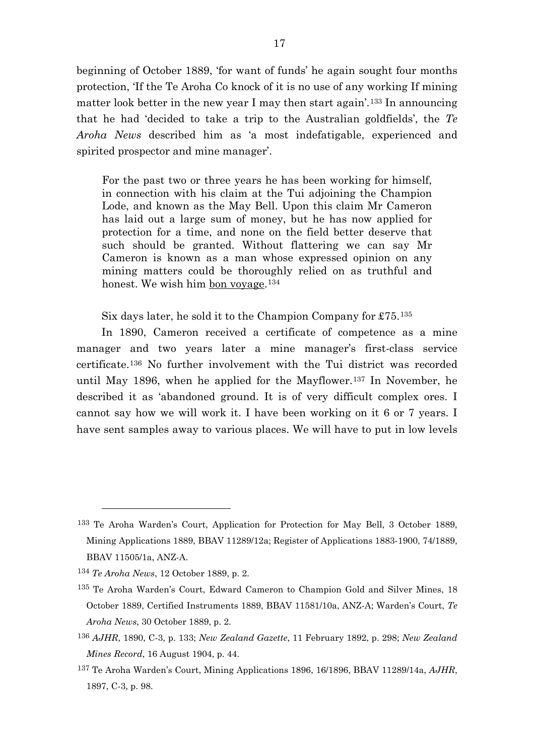beginning of October 1889, 'for want of funds' he again sought four months protection, 'If the Te Aroha Co knock of it is no use of any working If mining matter look better in the new year I may then start again<sup>'[133](#page-17-0)</sup> In announcing that he had 'decided to take a trip to the Australian goldfields', the *Te Aroha News* described him as 'a most indefatigable, experienced and spirited prospector and mine manager'.

For the past two or three years he has been working for himself, in connection with his claim at the Tui adjoining the Champion Lode, and known as the May Bell. Upon this claim Mr Cameron has laid out a large sum of money, but he has now applied for protection for a time, and none on the field better deserve that such should be granted. Without flattering we can say Mr Cameron is known as a man whose expressed opinion on any mining matters could be thoroughly relied on as truthful and honest. We wish him bon voyage.<sup>[134](#page-17-1)</sup>

Six days later, he sold it to the Champion Company for £75.[135](#page-17-2)

In 1890, Cameron received a certificate of competence as a mine manager and two years later a mine manager's first-class service certificate.[136](#page-17-3) No further involvement with the Tui district was recorded until May 1896, when he applied for the Mayflower.[137](#page-17-4) In November, he described it as 'abandoned ground. It is of very difficult complex ores. I cannot say how we will work it. I have been working on it 6 or 7 years. I have sent samples away to various places. We will have to put in low levels

<span id="page-17-0"></span><sup>133</sup> Te Aroha Warden's Court, Application for Protection for May Bell, 3 October 1889, Mining Applications 1889, BBAV 11289/12a; Register of Applications 1883-1900, 74/1889, BBAV 11505/1a, ANZ-A.

<span id="page-17-1"></span><sup>134</sup> *Te Aroha News*, 12 October 1889, p. 2.

<span id="page-17-2"></span><sup>135</sup> Te Aroha Warden's Court, Edward Cameron to Champion Gold and Silver Mines, 18 October 1889, Certified Instruments 1889, BBAV 11581/10a, ANZ-A; Warden's Court, *Te Aroha News*, 30 October 1889, p. 2.

<span id="page-17-3"></span><sup>136</sup> *AJHR*, 1890, C-3, p. 133; *New Zealand Gazette*, 11 February 1892, p. 298; *New Zealand Mines Record*, 16 August 1904, p. 44.

<span id="page-17-4"></span><sup>137</sup> Te Aroha Warden's Court, Mining Applications 1896, 16/1896, BBAV 11289/14a, *AJHR*, 1897, C-3, p. 98.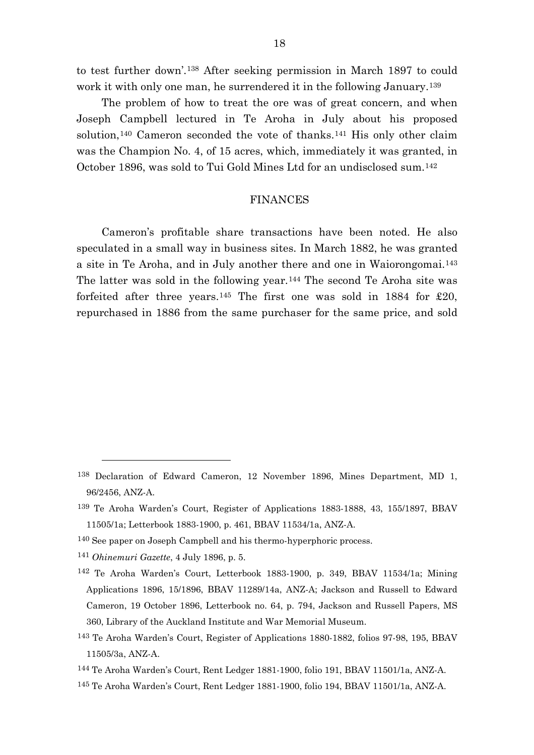to test further down'.[138](#page-18-0) After seeking permission in March 1897 to could work it with only one man, he surrendered it in the following January.<sup>[139](#page-18-1)</sup>

The problem of how to treat the ore was of great concern, and when Joseph Campbell lectured in Te Aroha in July about his proposed solution,<sup>[140](#page-18-2)</sup> Cameron seconded the vote of thanks.<sup>[141](#page-18-3)</sup> His only other claim was the Champion No. 4, of 15 acres, which, immediately it was granted, in October 1896, was sold to Tui Gold Mines Ltd for an undisclosed sum.[142](#page-18-4)

## FINANCES

Cameron's profitable share transactions have been noted. He also speculated in a small way in business sites. In March 1882, he was granted a site in Te Aroha, and in July another there and one in Waiorongomai.[143](#page-18-5) The latter was sold in the following year.<sup>[144](#page-18-6)</sup> The second Te Aroha site was forfeited after three years.<sup>[145](#page-18-7)</sup> The first one was sold in 1884 for  $£20$ , repurchased in 1886 from the same purchaser for the same price, and sold

<span id="page-18-0"></span><sup>138</sup> Declaration of Edward Cameron, 12 November 1896, Mines Department, MD 1, 96/2456, ANZ-A.

<span id="page-18-1"></span><sup>139</sup> Te Aroha Warden's Court, Register of Applications 1883-1888, 43, 155/1897, BBAV 11505/1a; Letterbook 1883-1900, p. 461, BBAV 11534/1a, ANZ-A.

<span id="page-18-2"></span><sup>140</sup> See paper on Joseph Campbell and his thermo-hyperphoric process.

<span id="page-18-3"></span><sup>141</sup> *Ohinemuri Gazette*, 4 July 1896, p. 5.

<span id="page-18-4"></span><sup>142</sup> Te Aroha Warden's Court, Letterbook 1883-1900, p. 349, BBAV 11534/1a; Mining Applications 1896, 15/1896, BBAV 11289/14a, ANZ-A; Jackson and Russell to Edward Cameron, 19 October 1896, Letterbook no. 64, p. 794, Jackson and Russell Papers, MS 360, Library of the Auckland Institute and War Memorial Museum.

<span id="page-18-5"></span><sup>143</sup> Te Aroha Warden's Court, Register of Applications 1880-1882, folios 97-98, 195, BBAV 11505/3a, ANZ-A.

<span id="page-18-6"></span><sup>144</sup> Te Aroha Warden's Court, Rent Ledger 1881-1900, folio 191, BBAV 11501/1a, ANZ-A.

<span id="page-18-7"></span><sup>145</sup> Te Aroha Warden's Court, Rent Ledger 1881-1900, folio 194, BBAV 11501/1a, ANZ-A.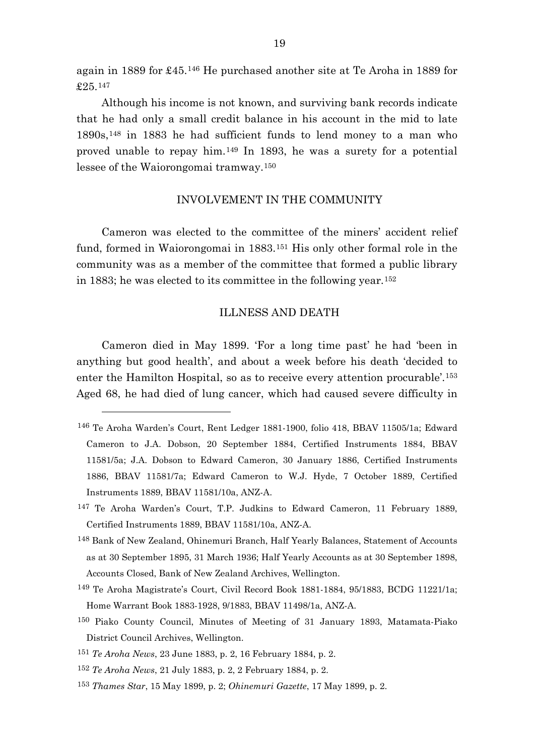again in 1889 for £45.[146](#page-19-0) He purchased another site at Te Aroha in 1889 for £25.[147](#page-19-1)

Although his income is not known, and surviving bank records indicate that he had only a small credit balance in his account in the mid to late 1890s,[148](#page-19-2) in 1883 he had sufficient funds to lend money to a man who proved unable to repay him.[149](#page-19-3) In 1893, he was a surety for a potential lessee of the Waiorongomai tramway.[150](#page-19-4)

## INVOLVEMENT IN THE COMMUNITY

Cameron was elected to the committee of the miners' accident relief fund, formed in Waiorongomai in 1883.[151](#page-19-5) His only other formal role in the community was as a member of the committee that formed a public library in 1883; he was elected to its committee in the following year.[152](#page-19-6)

#### ILLNESS AND DEATH

Cameron died in May 1899. 'For a long time past' he had 'been in anything but good health', and about a week before his death 'decided to enter the Hamilton Hospital, so as to receive every attention procurable'.[153](#page-19-7) Aged 68, he had died of lung cancer, which had caused severe difficulty in

<span id="page-19-3"></span>149 Te Aroha Magistrate's Court, Civil Record Book 1881-1884, 95/1883, BCDG 11221/1a; Home Warrant Book 1883-1928, 9/1883, BBAV 11498/1a, ANZ-A.

<span id="page-19-6"></span><sup>152</sup> *Te Aroha News*, 21 July 1883, p. 2, 2 February 1884, p. 2.

 $\overline{a}$ 

<span id="page-19-7"></span><sup>153</sup> *Thames Star*, 15 May 1899, p. 2; *Ohinemuri Gazette*, 17 May 1899, p. 2.

<span id="page-19-0"></span><sup>146</sup> Te Aroha Warden's Court, Rent Ledger 1881-1900, folio 418, BBAV 11505/1a; Edward Cameron to J.A. Dobson, 20 September 1884, Certified Instruments 1884, BBAV 11581/5a; J.A. Dobson to Edward Cameron, 30 January 1886, Certified Instruments 1886, BBAV 11581/7a; Edward Cameron to W.J. Hyde, 7 October 1889, Certified Instruments 1889, BBAV 11581/10a, ANZ-A.

<span id="page-19-1"></span><sup>147</sup> Te Aroha Warden's Court, T.P. Judkins to Edward Cameron, 11 February 1889, Certified Instruments 1889, BBAV 11581/10a, ANZ-A.

<span id="page-19-2"></span><sup>148</sup> Bank of New Zealand, Ohinemuri Branch, Half Yearly Balances, Statement of Accounts as at 30 September 1895, 31 March 1936; Half Yearly Accounts as at 30 September 1898, Accounts Closed, Bank of New Zealand Archives, Wellington.

<span id="page-19-4"></span><sup>150</sup> Piako County Council, Minutes of Meeting of 31 January 1893, Matamata-Piako District Council Archives, Wellington.

<span id="page-19-5"></span><sup>151</sup> *Te Aroha News*, 23 June 1883, p. 2, 16 February 1884, p. 2.